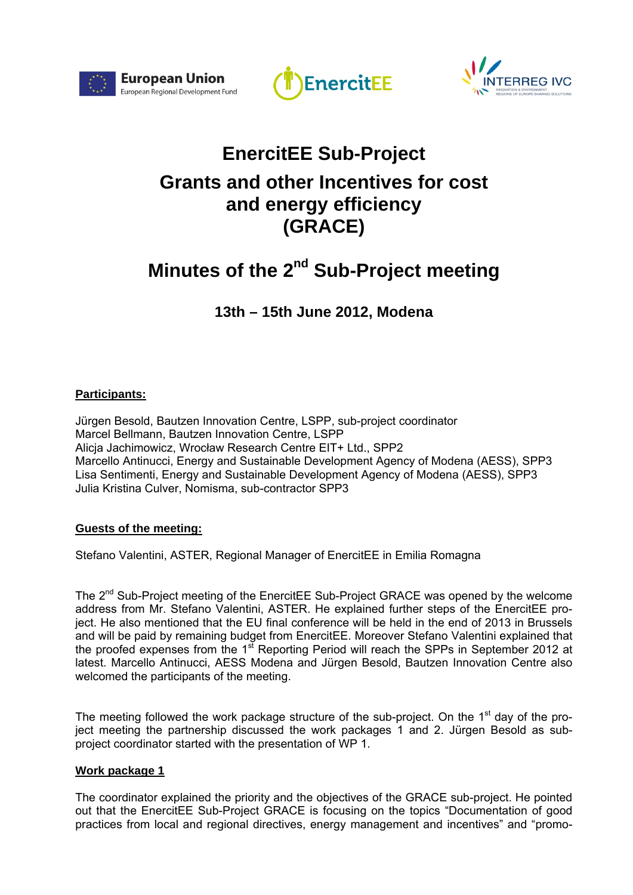





## **EnercitEE Sub-Project Grants and other Incentives for cost and energy efficiency (GRACE)**

# **Minutes of the 2nd Sub-Project meeting**

**13th – 15th June 2012, Modena** 

## **Participants:**

Jürgen Besold, Bautzen Innovation Centre, LSPP, sub-project coordinator Marcel Bellmann, Bautzen Innovation Centre, LSPP Alicja Jachimowicz, Wrocław Research Centre EIT+ Ltd., SPP2 Marcello Antinucci, Energy and Sustainable Development Agency of Modena (AESS), SPP3 Lisa Sentimenti, Energy and Sustainable Development Agency of Modena (AESS), SPP3 Julia Kristina Culver, Nomisma, sub-contractor SPP3

## **Guests of the meeting:**

Stefano Valentini, ASTER, Regional Manager of EnercitEE in Emilia Romagna

The 2<sup>nd</sup> Sub-Project meeting of the EnercitEE Sub-Project GRACE was opened by the welcome address from Mr. Stefano Valentini, ASTER. He explained further steps of the EnercitEE project. He also mentioned that the EU final conference will be held in the end of 2013 in Brussels and will be paid by remaining budget from EnercitEE. Moreover Stefano Valentini explained that the proofed expenses from the 1<sup>st</sup> Reporting Period will reach the SPPs in September 2012 at latest. Marcello Antinucci, AESS Modena and Jürgen Besold, Bautzen Innovation Centre also welcomed the participants of the meeting.

The meeting followed the work package structure of the sub-project. On the 1<sup>st</sup> day of the project meeting the partnership discussed the work packages 1 and 2. Jürgen Besold as subproject coordinator started with the presentation of WP 1.

#### **Work package 1**

The coordinator explained the priority and the objectives of the GRACE sub-project. He pointed out that the EnercitEE Sub-Project GRACE is focusing on the topics "Documentation of good practices from local and regional directives, energy management and incentives" and "promo-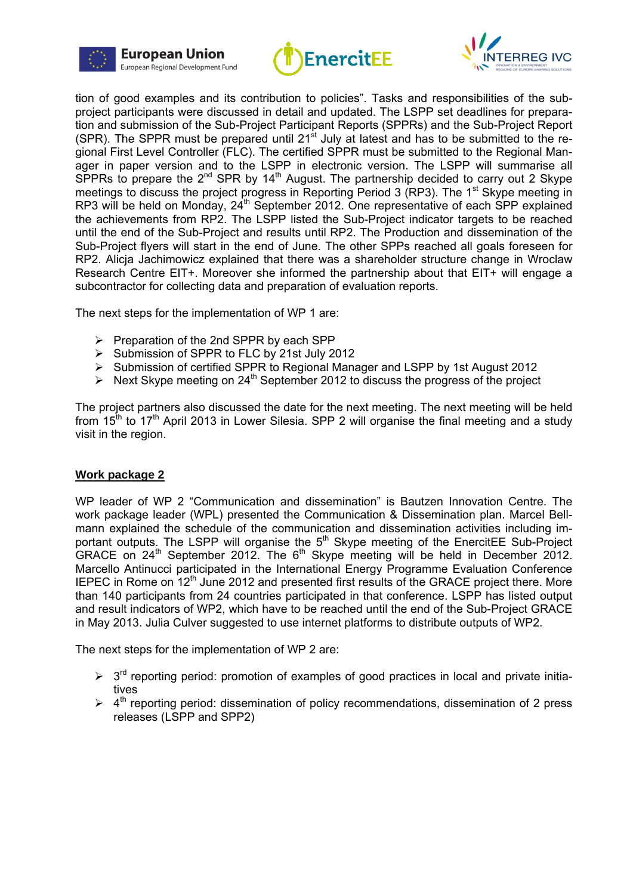





tion of good examples and its contribution to policies". Tasks and responsibilities of the subproject participants were discussed in detail and updated. The LSPP set deadlines for preparation and submission of the Sub-Project Participant Reports (SPPRs) and the Sub-Project Report (SPR). The SPPR must be prepared until 21 $\mathrm{st}$  July at latest and has to be submitted to the regional First Level Controller (FLC). The certified SPPR must be submitted to the Regional Manager in paper version and to the LSPP in electronic version. The LSPP will summarise all SPPRs to prepare the  $2^{nd}$  SPR by  $14^{th}$  August. The partnership decided to carry out 2 Skype meetings to discuss the project progress in Reporting Period 3 (RP3). The 1<sup>st</sup> Skype meeting in RP3 will be held on Monday, 24<sup>th</sup> September 2012. One representative of each SPP explained the achievements from RP2. The LSPP listed the Sub-Project indicator targets to be reached until the end of the Sub-Project and results until RP2. The Production and dissemination of the Sub-Project flyers will start in the end of June. The other SPPs reached all goals foreseen for RP2. Alicja Jachimowicz explained that there was a shareholder structure change in Wroclaw Research Centre EIT+. Moreover she informed the partnership about that EIT+ will engage a subcontractor for collecting data and preparation of evaluation reports.

The next steps for the implementation of WP 1 are:

- $\triangleright$  Preparation of the 2nd SPPR by each SPP
- ¾ Submission of SPPR to FLC by 21st July 2012
- ¾ Submission of certified SPPR to Regional Manager and LSPP by 1st August 2012
- $\triangleright$  Next Skype meeting on 24<sup>th</sup> September 2012 to discuss the progress of the project

The project partners also discussed the date for the next meeting. The next meeting will be held from  $15<sup>th</sup>$  to  $17<sup>th</sup>$  April 2013 in Lower Silesia. SPP 2 will organise the final meeting and a study visit in the region.

#### **Work package 2**

WP leader of WP 2 "Communication and dissemination" is Bautzen Innovation Centre. The work package leader (WPL) presented the Communication & Dissemination plan. Marcel Bellmann explained the schedule of the communication and dissemination activities including important outputs. The LSPP will organise the 5<sup>th</sup> Skype meeting of the EnercitEE Sub-Project GRACE on 24<sup>th</sup> September 2012. The 6<sup>th</sup> Skype meeting will be held in December 2012. Marcello Antinucci participated in the International Energy Programme Evaluation Conference IEPEC in Rome on 12<sup>th</sup> June 2012 and presented first results of the GRACE project there. More than 140 participants from 24 countries participated in that conference. LSPP has listed output and result indicators of WP2, which have to be reached until the end of the Sub-Project GRACE in May 2013. Julia Culver suggested to use internet platforms to distribute outputs of WP2.

The next steps for the implementation of WP 2 are:

- $\geq 3^{rd}$  reporting period: promotion of examples of good practices in local and private initiatives
- $\triangleright$  4<sup>th</sup> reporting period: dissemination of policy recommendations, dissemination of 2 press releases (LSPP and SPP2)